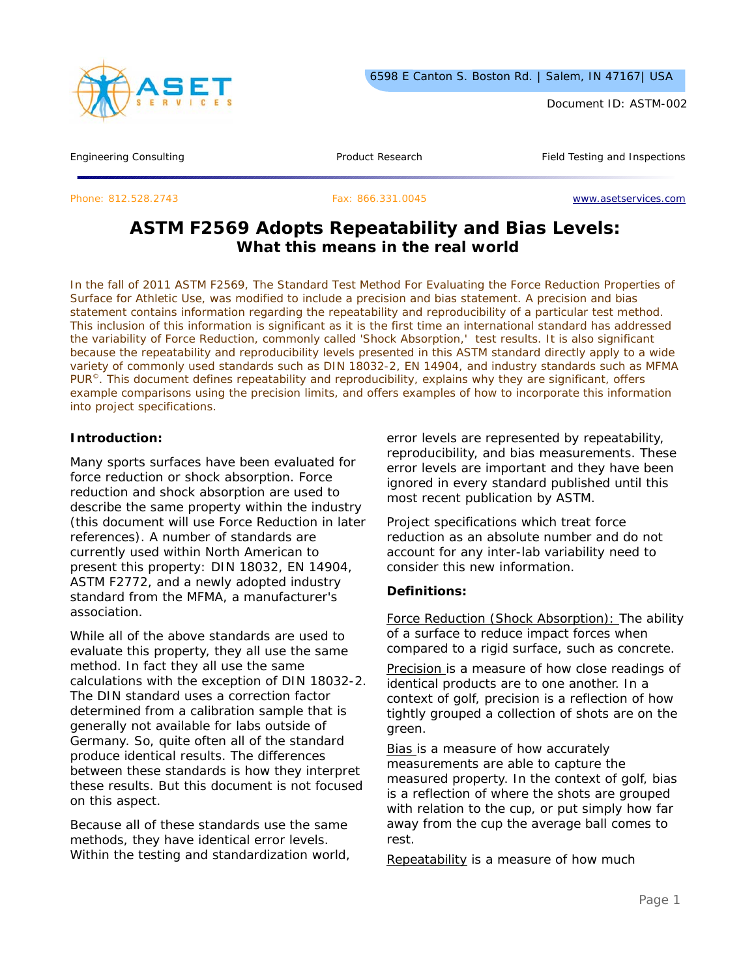

Document ID: ASTM-002

Engineering Consulting Testing Article 2012 Troduct Research Testing Product Research Field Testing and Inspections

Phone: 812.528.2743 Fax: 866.331.0045 www.asetservices.com

# **ASTM F2569 Adopts Repeatability and Bias Levels: What this means in the real world**

*In the fall of 2011 ASTM F2569, The Standard Test Method For Evaluating the Force Reduction Properties of Surface for Athletic Use, was modified to include a precision and bias statement. A precision and bias statement contains information regarding the repeatability and reproducibility of a particular test method. This inclusion of this information is significant as it is the first time an international standard has addressed the variability of Force Reduction, commonly called 'Shock Absorption,' test results. It is also significant because the repeatability and reproducibility levels presented in this ASTM standard directly apply to a wide variety of commonly used standards such as DIN 18032-2, EN 14904, and industry standards such as MFMA PUR©. This document defines repeatability and reproducibility, explains why they are significant, offers example comparisons using the precision limits, and offers examples of how to incorporate this information into project specifications.* 

#### **Introduction:**

Many sports surfaces have been evaluated for force reduction or shock absorption. Force reduction and shock absorption are used to describe the same property within the industry (this document will use Force Reduction in later references). A number of standards are currently used within North American to present this property: DIN 18032, EN 14904, ASTM F2772, and a newly adopted industry standard from the MFMA, a manufacturer's association.

While all of the above standards are used to evaluate this property, they all use the same method. In fact they all use the same calculations with the exception of DIN 18032-2. The DIN standard uses a correction factor determined from a calibration sample that is generally not available for labs outside of Germany. So, quite often all of the standard produce identical results. The differences between these standards is how they interpret these results. But this document is not focused on this aspect.

Because all of these standards use the same methods, they have identical error levels. Within the testing and standardization world, error levels are represented by repeatability, reproducibility, and bias measurements. These error levels are important and they have been ignored in every standard published until this most recent publication by ASTM.

Project specifications which treat force reduction as an absolute number and do not account for any inter-lab variability need to consider this new information.

#### **Definitions:**

Force Reduction (Shock Absorption): The ability of a surface to reduce impact forces when compared to a rigid surface, such as concrete.

Precision is a measure of how close readings of identical products are to one another. In a context of golf, precision is a reflection of how tightly grouped a collection of shots are on the green.

Bias is a measure of how accurately measurements are able to capture the measured property. In the context of golf, bias is a reflection of where the shots are grouped with relation to the cup, or put simply how far away from the cup the average ball comes to rest.

Repeatability is a measure of how much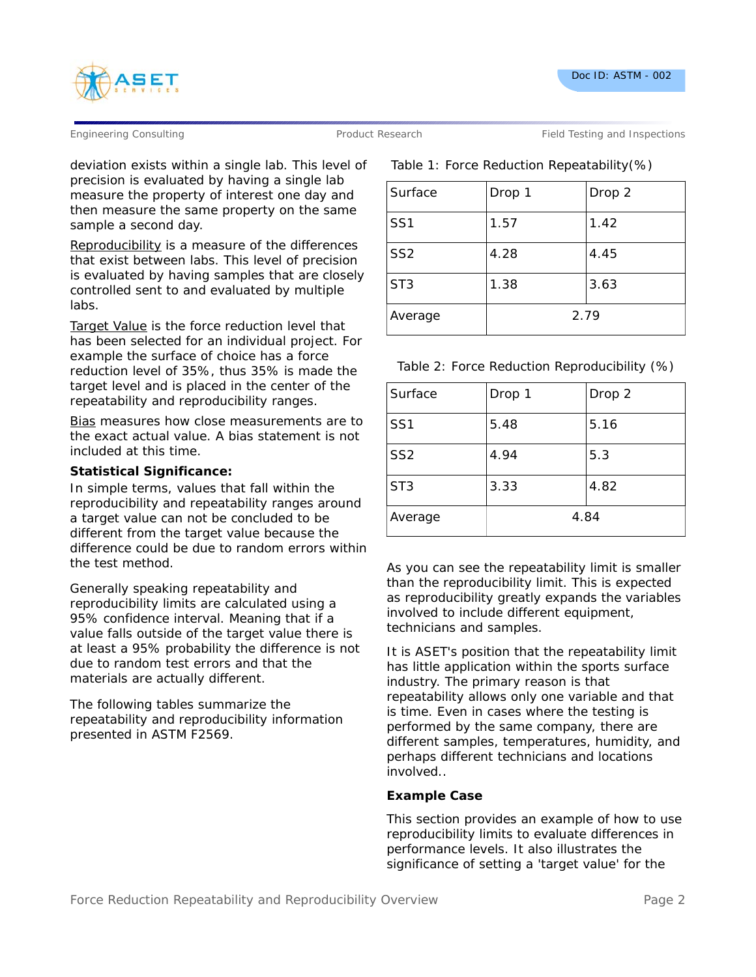

Engineering Consulting Testing According Product Research Field Testing and Inspections

deviation exists within a single lab. This level of precision is evaluated by having a single lab measure the property of interest one day and then measure the same property on the same sample a second day.

Reproducibility is a measure of the differences that exist between labs. This level of precision is evaluated by having samples that are closely controlled sent to and evaluated by multiple labs.

Target Value is the force reduction level that has been selected for an individual project. For example the surface of choice has a force reduction level of 35%, thus 35% is made the target level and is placed in the center of the repeatability and reproducibility ranges.

Bias measures how close measurements are to the exact actual value. A bias statement is not included at this time.

### **Statistical Significance:**

In simple terms, values that fall within the reproducibility and repeatability ranges around a target value can not be concluded to be different from the target value because the difference could be due to random errors within the test method.

Generally speaking repeatability and reproducibility limits are calculated using a 95% confidence interval. Meaning that if a value falls outside of the target value there is at least a 95% probability the difference is not due to random test errors and that the materials are actually different.

The following tables summarize the repeatability and reproducibility information presented in ASTM F2569.

## Table 1: Force Reduction Repeatability(%)

| Surface         | Drop 1 | Drop 2 |
|-----------------|--------|--------|
| SS <sub>1</sub> | 1.57   | 1.42   |
| SS <sub>2</sub> | 4.28   | 4.45   |
| ST <sub>3</sub> | 1.38   | 3.63   |
| Average         | 2.79   |        |

Table 2: Force Reduction Reproducibility (%)

| Surface         | Drop 1 | Drop 2 |
|-----------------|--------|--------|
| SS <sub>1</sub> | 5.48   | 5.16   |
| SS <sub>2</sub> | 4.94   | 5.3    |
| ST <sub>3</sub> | 3.33   | 4.82   |
| Average         | 4.84   |        |

As you can see the repeatability limit is smaller than the reproducibility limit. This is expected as reproducibility greatly expands the variables involved to include different equipment, technicians and samples.

It is ASET's position that the repeatability limit has little application within the sports surface industry. The primary reason is that repeatability allows only one variable and that is time. Even in cases where the testing is performed by the same company, there are different samples, temperatures, humidity, and perhaps different technicians and locations involved..

### **Example Case**

This section provides an example of how to use reproducibility limits to evaluate differences in performance levels. It also illustrates the significance of setting a 'target value' for the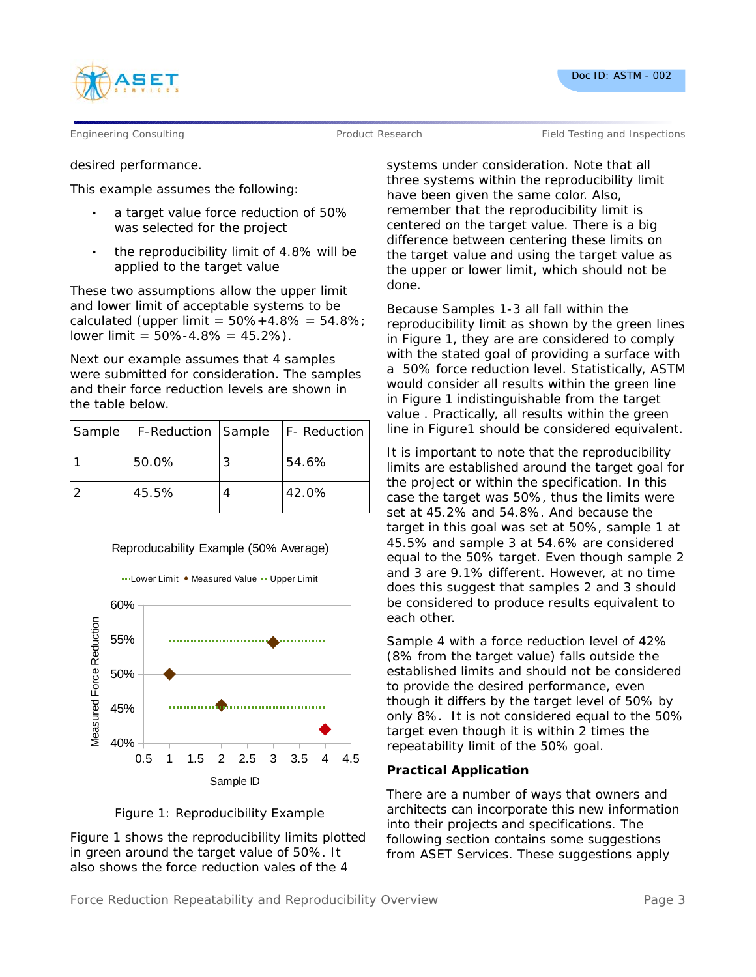



Engineering Consulting Testing According Product Research Field Testing and Inspections

desired performance.

This example assumes the following:

- a target value force reduction of 50% was selected for the project
- the reproducibility limit of 4.8% will be applied to the target value

These two assumptions allow the upper limit and lower limit of acceptable systems to be calculated (upper limit =  $50\% + 4.8\% = 54.8\%$ ; lower limit =  $50\% - 4.8\% = 45.2\%$ ).

Next our example assumes that 4 samples were submitted for consideration. The samples and their force reduction levels are shown in the table below.

| Sample | F-Reduction   Sample   F- Reduction |       |
|--------|-------------------------------------|-------|
|        | 50.0%                               | 54.6% |
|        | 45.5%                               | 42.0% |

### Reproducability Example (50% Average)

... Lower Limit ◆ Measured Value ... Upper Limit







systems under consideration. Note that all three systems within the reproducibility limit have been given the same color. Also, remember that the reproducibility limit is centered on the target value. There is a big difference between centering these limits on the target value and using the target value as the upper or lower limit, which should not be done.

Because Samples 1-3 all fall within the reproducibility limit as shown by the green lines in Figure 1, they are are considered to comply with the stated goal of providing a surface with a 50% force reduction level. Statistically, ASTM would consider all results within the green line in Figure 1 indistinguishable from the target value . Practically, all results within the green line in Figure1 should be considered equivalent.

It is important to note that the reproducibility limits are established around the target goal for the project or within the specification. In this case the target was 50%, thus the limits were set at 45.2% and 54.8%. And because the target in this goal was set at 50%, sample 1 at 45.5% and sample 3 at 54.6% are considered equal to the 50% target. Even though sample 2 and 3 are 9.1% different. However, at no time does this suggest that samples 2 and 3 should be considered to produce results equivalent to each other.

Sample 4 with a force reduction level of 42% (8% from the target value) falls outside the established limits and should not be considered to provide the desired performance, even though it differs by the target level of 50% by only 8%. It is not considered equal to the 50% target even though it is within 2 times the repeatability limit of the 50% goal.

### **Practical Application**

There are a number of ways that owners and architects can incorporate this new information into their projects and specifications. The following section contains some suggestions from ASET Services. These suggestions apply